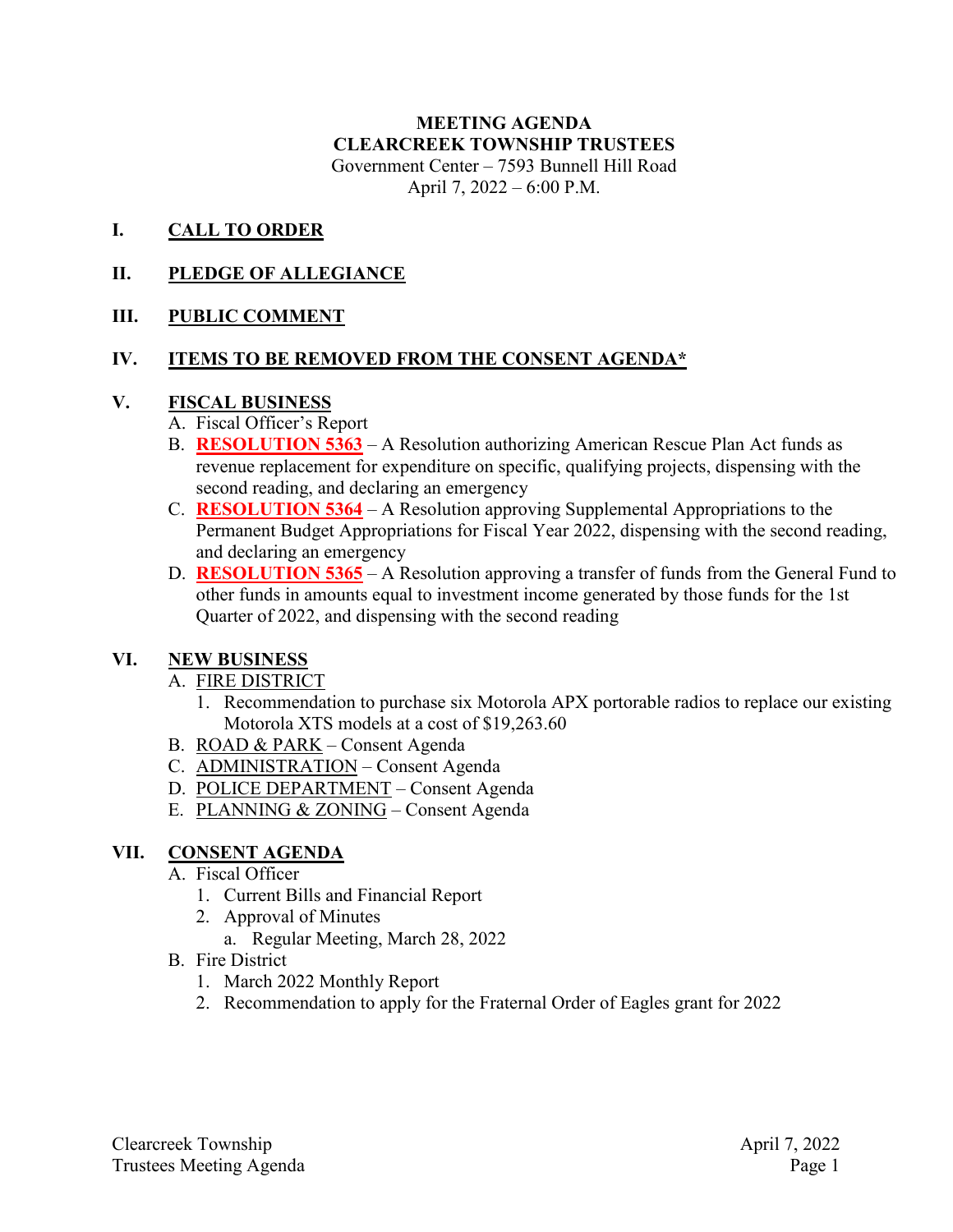#### **MEETING AGENDA CLEARCREEK TOWNSHIP TRUSTEES** Government Center – 7593 Bunnell Hill Road April 7, 2022 – 6:00 P.M.

#### **I. CALL TO ORDER**

## **II. PLEDGE OF ALLEGIANCE**

## **III. PUBLIC COMMENT**

#### **IV. ITEMS TO BE REMOVED FROM THE CONSENT AGENDA\***

#### **V. FISCAL BUSINESS**

- A. Fiscal Officer's Report
- B. **RESOLUTION 5363** A Resolution authorizing American Rescue Plan Act funds as revenue replacement for expenditure on specific, qualifying projects, dispensing with the second reading, and declaring an emergency
- C. **RESOLUTION 5364** A Resolution approving Supplemental Appropriations to the Permanent Budget Appropriations for Fiscal Year 2022, dispensing with the second reading, and declaring an emergency
- D. **RESOLUTION 5365** A Resolution approving a transfer of funds from the General Fund to other funds in amounts equal to investment income generated by those funds for the 1st Quarter of 2022, and dispensing with the second reading

## **VI. NEW BUSINESS**

## A. FIRE DISTRICT

- 1. Recommendation to purchase six Motorola APX portorable radios to replace our existing Motorola XTS models at a cost of \$19,263.60
- B. ROAD & PARK Consent Agenda
- C. ADMINISTRATION Consent Agenda
- D. POLICE DEPARTMENT Consent Agenda
- E. PLANNING & ZONING Consent Agenda

# **VII. CONSENT AGENDA**

## A. Fiscal Officer

- 1. Current Bills and Financial Report
- 2. Approval of Minutes
	- a. Regular Meeting, March 28, 2022
- B. Fire District
	- 1. March 2022 Monthly Report
	- 2. Recommendation to apply for the Fraternal Order of Eagles grant for 2022